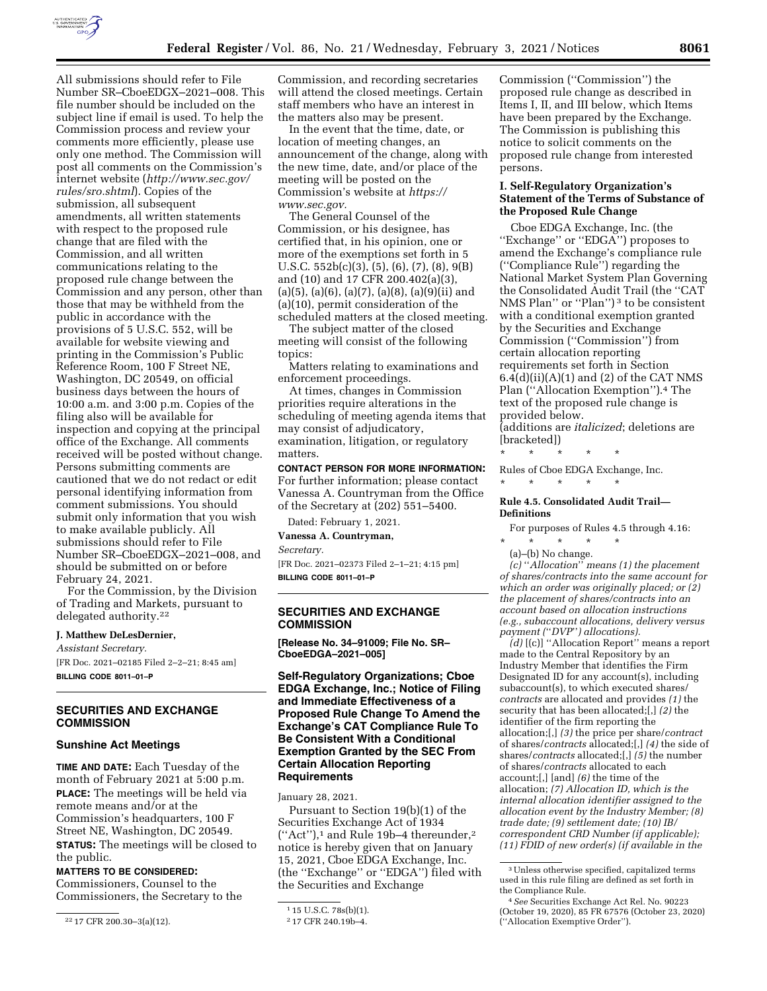

All submissions should refer to File Number SR–CboeEDGX–2021–008. This file number should be included on the subject line if email is used. To help the Commission process and review your comments more efficiently, please use only one method. The Commission will post all comments on the Commission's internet website (*[http://www.sec.gov/](http://www.sec.gov/rules/sro.shtml)  [rules/sro.shtml](http://www.sec.gov/rules/sro.shtml)*). Copies of the submission, all subsequent amendments, all written statements with respect to the proposed rule change that are filed with the Commission, and all written communications relating to the proposed rule change between the Commission and any person, other than those that may be withheld from the public in accordance with the provisions of 5 U.S.C. 552, will be available for website viewing and printing in the Commission's Public Reference Room, 100 F Street NE, Washington, DC 20549, on official business days between the hours of 10:00 a.m. and 3:00 p.m. Copies of the filing also will be available for inspection and copying at the principal office of the Exchange. All comments received will be posted without change. Persons submitting comments are cautioned that we do not redact or edit personal identifying information from comment submissions. You should submit only information that you wish to make available publicly. All submissions should refer to File Number SR–CboeEDGX–2021–008, and should be submitted on or before February 24, 2021.

For the Commission, by the Division of Trading and Markets, pursuant to delegated authority.22

# **J. Matthew DeLesDernier,**

*Assistant Secretary.*  [FR Doc. 2021–02185 Filed 2–2–21; 8:45 am] **BILLING CODE 8011–01–P** 

# **SECURITIES AND EXCHANGE COMMISSION**

#### **Sunshine Act Meetings**

**TIME AND DATE:** Each Tuesday of the month of February 2021 at 5:00 p.m. **PLACE:** The meetings will be held via remote means and/or at the Commission's headquarters, 100 F Street NE, Washington, DC 20549. **STATUS:** The meetings will be closed to the public.

#### **MATTERS TO BE CONSIDERED:**

Commissioners, Counsel to the Commissioners, the Secretary to the

Commission, and recording secretaries will attend the closed meetings. Certain staff members who have an interest in the matters also may be present.

In the event that the time, date, or location of meeting changes, an announcement of the change, along with the new time, date, and/or place of the meeting will be posted on the Commission's website at *[https://](https://www.sec.gov) [www.sec.gov.](https://www.sec.gov)* 

The General Counsel of the Commission, or his designee, has certified that, in his opinion, one or more of the exemptions set forth in 5 U.S.C. 552b(c)(3), (5), (6), (7), (8), 9(B) and (10) and 17 CFR 200.402(a)(3),  $(a)(5)$ ,  $(a)(6)$ ,  $(a)(7)$ ,  $(a)(8)$ ,  $(a)(9)(ii)$  and (a)(10), permit consideration of the scheduled matters at the closed meeting.

The subject matter of the closed meeting will consist of the following topics:

Matters relating to examinations and enforcement proceedings.

At times, changes in Commission priorities require alterations in the scheduling of meeting agenda items that may consist of adjudicatory, examination, litigation, or regulatory matters.

**CONTACT PERSON FOR MORE INFORMATION:**  For further information; please contact Vanessa A. Countryman from the Office of the Secretary at (202) 551–5400.

Dated: February 1, 2021.

**Vanessa A. Countryman,** 

*Secretary.* 

[FR Doc. 2021–02373 Filed 2–1–21; 4:15 pm] **BILLING CODE 8011–01–P** 

# **SECURITIES AND EXCHANGE COMMISSION**

**[Release No. 34–91009; File No. SR– CboeEDGA–2021–005]** 

# **Self-Regulatory Organizations; Cboe EDGA Exchange, Inc.; Notice of Filing and Immediate Effectiveness of a Proposed Rule Change To Amend the Exchange's CAT Compliance Rule To Be Consistent With a Conditional Exemption Granted by the SEC From Certain Allocation Reporting Requirements**

January 28, 2021.

Pursuant to Section 19(b)(1) of the Securities Exchange Act of 1934  $("Act")$ ,<sup>1</sup> and Rule 19b-4 thereunder,<sup>2</sup> notice is hereby given that on January 15, 2021, Cboe EDGA Exchange, Inc. (the ''Exchange'' or ''EDGA'') filed with the Securities and Exchange

Commission (''Commission'') the proposed rule change as described in Items I, II, and III below, which Items have been prepared by the Exchange. The Commission is publishing this notice to solicit comments on the proposed rule change from interested persons.

### **I. Self-Regulatory Organization's Statement of the Terms of Substance of the Proposed Rule Change**

Cboe EDGA Exchange, Inc. (the "Exchange" or "EDGA") proposes to amend the Exchange's compliance rule (''Compliance Rule'') regarding the National Market System Plan Governing the Consolidated Audit Trail (the ''CAT NMS Plan" or "Plan")<sup>3</sup> to be consistent with a conditional exemption granted by the Securities and Exchange Commission (''Commission'') from certain allocation reporting requirements set forth in Section  $6.4(d)(ii)(A)(1)$  and  $(2)$  of the CAT NMS Plan (''Allocation Exemption'').4 The text of the proposed rule change is provided below.

(additions are *italicized*; deletions are [bracketed])

\* \* \* \* \*

\* \* \* \* \*

Rules of Cboe EDGA Exchange, Inc.

#### **Rule 4.5. Consolidated Audit Trail— Definitions**

For purposes of Rules 4.5 through 4.16:

\* \* \* \* \* (a)–(b) No change.

*(c)* ''*Allocation*'' *means (1) the placement of shares/contracts into the same account for which an order was originally placed; or (2) the placement of shares/contracts into an account based on allocation instructions (e.g., subaccount allocations, delivery versus payment (*''*DVP*''*) allocations).* 

*(d)* [(c)] ''Allocation Report'' means a report made to the Central Repository by an Industry Member that identifies the Firm Designated ID for any account(s), including subaccount(s), to which executed shares/ *contracts* are allocated and provides *(1)* the security that has been allocated;[,] *(2)* the identifier of the firm reporting the allocation;[,] *(3)* the price per share/*contract*  of shares/*contracts* allocated;[,] *(4)* the side of shares/*contracts* allocated;[,] *(5)* the number of shares/*contracts* allocated to each account;[,] [and] *(6)* the time of the allocation; *(7) Allocation ID, which is the internal allocation identifier assigned to the allocation event by the Industry Member; (8) trade date; (9) settlement date; (10) IB/ correspondent CRD Number (if applicable); (11) FDID of new order(s) (if available in the* 

<sup>22</sup> 17 CFR 200.30–3(a)(12).

<sup>1</sup> 15 U.S.C. 78s(b)(1).

<sup>2</sup> 17 CFR 240.19b–4.

<sup>3</sup>Unless otherwise specified, capitalized terms used in this rule filing are defined as set forth in the Compliance Rule.

<sup>4</sup>*See* Securities Exchange Act Rel. No. 90223 (October 19, 2020), 85 FR 67576 (October 23, 2020) (''Allocation Exemptive Order'').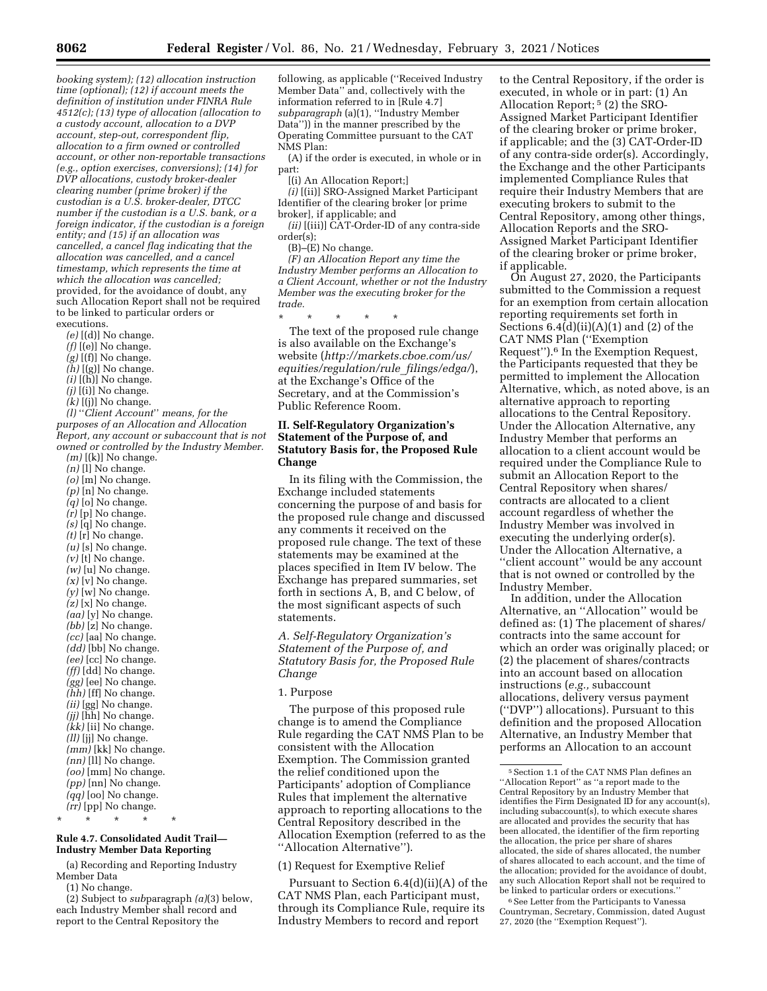*booking system); (12) allocation instruction time (optional); (12) if account meets the definition of institution under FINRA Rule 4512(c); (13) type of allocation (allocation to a custody account, allocation to a DVP account, step-out, correspondent flip, allocation to a firm owned or controlled account, or other non-reportable transactions (e.g., option exercises, conversions); (14) for DVP allocations, custody broker-dealer clearing number (prime broker) if the custodian is a U.S. broker-dealer, DTCC number if the custodian is a U.S. bank, or a foreign indicator, if the custodian is a foreign entity; and (15) if an allocation was cancelled, a cancel flag indicating that the allocation was cancelled, and a cancel timestamp, which represents the time at which the allocation was cancelled;*  provided, for the avoidance of doubt, any such Allocation Report shall not be required to be linked to particular orders or executions.

- *(e)* [(d)] No change.
- *(f)* [(e)] No change.
- *(g)* [(f)] No change.
- *(h)* [(g)] No change.
- $(i)$   $[(\tilde{h})]$  No change.
- *(j)* [(i)] No change.
- *(k)* [(j)] No change.

*(l)* ''*Client Account*'' *means, for the purposes of an Allocation and Allocation Report, any account or subaccount that is not owned or controlled by the Industry Member.* 

```
(m) [(k)] No change. 
  (n) [l] No change. 
  (o) [m] No change. 
  (p) [n] No change. 
  (q) [o] No change. 
  (r) [p] No change. 
  (s) [q] No change. 
  (t) \left[\mathbf{r}\right] No change.
  (u) [s] No change. 
  (v) [t] No change.
  (w) [u] No change.
  (x) [v] No change.
  (v) [w] No change.
  (z) [x] No change. 
  (aa) [y] No change. 
  (bb) [z] No change. 
  (cc) [aa] No change. 
  (dd) [bb] No change. 
  (ee) [cc] No change. 
  (ff) [dd] No change. 
  (gg) [ee] No change. 
  (hh) [ff] No change. 
  (ii) [gg] No change. 
  (jj) [hh] No change. 
  (kk) [ii] No change. 
  (ll) [jj] No change. 
  (mm) [kk] No change. 
  (nn) [ll] No change. 
  (oo) [mm] No change. 
  (pp) [nn] No change. 
  (qq) [oo] No change. 
  (rr) [pp] No change. 
* * * * *
```
### **Rule 4.7. Consolidated Audit Trail— Industry Member Data Reporting**

(a) Recording and Reporting Industry Member Data

(1) No change.

(2) Subject to *sub*paragraph *(a)*(3) below, each Industry Member shall record and report to the Central Repository the

following, as applicable (''Received Industry Member Data'' and, collectively with the information referred to in [Rule 4.7] *subparagraph* (a)(1), ''Industry Member Data'')) in the manner prescribed by the Operating Committee pursuant to the CAT NMS Plan:

(A) if the order is executed, in whole or in part:

[(i) An Allocation Report;]

*(i)* [(ii)] SRO-Assigned Market Participant Identifier of the clearing broker [or prime broker], if applicable; and

*(ii)* [(iii)] CAT-Order-ID of any contra-side order(s);

(B)–(E) No change.

*(F) an Allocation Report any time the Industry Member performs an Allocation to a Client Account, whether or not the Industry Member was the executing broker for the trade.* 

\* \* \* \* \* The text of the proposed rule change is also available on the Exchange's website (*[http://markets.cboe.com/us/](http://markets.cboe.com/us/equities/regulation/rule_filings/edga/) [equities/regulation/rule](http://markets.cboe.com/us/equities/regulation/rule_filings/edga/)*\_*filings/edga/*), at the Exchange's Office of the Secretary, and at the Commission's Public Reference Room.

## **II. Self-Regulatory Organization's Statement of the Purpose of, and Statutory Basis for, the Proposed Rule Change**

In its filing with the Commission, the Exchange included statements concerning the purpose of and basis for the proposed rule change and discussed any comments it received on the proposed rule change. The text of these statements may be examined at the places specified in Item IV below. The Exchange has prepared summaries, set forth in sections A, B, and C below, of the most significant aspects of such statements.

*A. Self-Regulatory Organization's Statement of the Purpose of, and Statutory Basis for, the Proposed Rule Change* 

### 1. Purpose

The purpose of this proposed rule change is to amend the Compliance Rule regarding the CAT NMS Plan to be consistent with the Allocation Exemption. The Commission granted the relief conditioned upon the Participants' adoption of Compliance Rules that implement the alternative approach to reporting allocations to the Central Repository described in the Allocation Exemption (referred to as the ''Allocation Alternative'').

### (1) Request for Exemptive Relief

Pursuant to Section 6.4(d)(ii)(A) of the CAT NMS Plan, each Participant must, through its Compliance Rule, require its Industry Members to record and report

to the Central Repository, if the order is executed, in whole or in part: (1) An Allocation Report; 5 (2) the SRO-Assigned Market Participant Identifier of the clearing broker or prime broker, if applicable; and the (3) CAT-Order-ID of any contra-side order(s). Accordingly, the Exchange and the other Participants implemented Compliance Rules that require their Industry Members that are executing brokers to submit to the Central Repository, among other things, Allocation Reports and the SRO-Assigned Market Participant Identifier of the clearing broker or prime broker, if applicable.

On August 27, 2020, the Participants submitted to the Commission a request for an exemption from certain allocation reporting requirements set forth in Sections  $6.4(d)(ii)(A)(1)$  and  $(2)$  of the CAT NMS Plan (''Exemption Request'').6 In the Exemption Request, the Participants requested that they be permitted to implement the Allocation Alternative, which, as noted above, is an alternative approach to reporting allocations to the Central Repository. Under the Allocation Alternative, any Industry Member that performs an allocation to a client account would be required under the Compliance Rule to submit an Allocation Report to the Central Repository when shares/ contracts are allocated to a client account regardless of whether the Industry Member was involved in executing the underlying order(s). Under the Allocation Alternative, a ''client account'' would be any account that is not owned or controlled by the Industry Member.

In addition, under the Allocation Alternative, an ''Allocation'' would be defined as: (1) The placement of shares/ contracts into the same account for which an order was originally placed; or (2) the placement of shares/contracts into an account based on allocation instructions (*e.g.,* subaccount allocations, delivery versus payment (''DVP'') allocations). Pursuant to this definition and the proposed Allocation Alternative, an Industry Member that performs an Allocation to an account

<sup>6</sup> See Letter from the Participants to Vanessa Countryman, Secretary, Commission, dated August 27, 2020 (the ''Exemption Request'').

<sup>5</sup>Section 1.1 of the CAT NMS Plan defines an ''Allocation Report'' as ''a report made to the Central Repository by an Industry Member that identifies the Firm Designated ID for any account(s), including subaccount(s), to which execute shares are allocated and provides the security that has been allocated, the identifier of the firm reporting the allocation, the price per share of shares allocated, the side of shares allocated, the number of shares allocated to each account, and the time of the allocation; provided for the avoidance of doubt, any such Allocation Report shall not be required to be linked to particular orders or executions.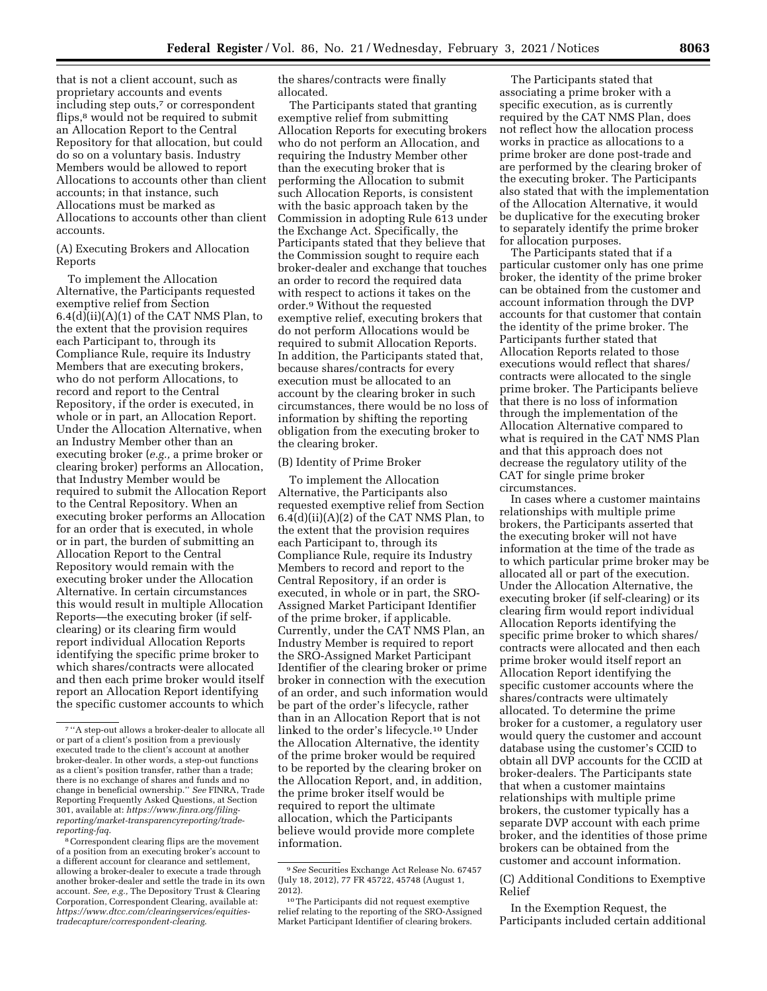that is not a client account, such as proprietary accounts and events including step outs,7 or correspondent flips,<sup>8</sup> would not be required to submit an Allocation Report to the Central Repository for that allocation, but could do so on a voluntary basis. Industry Members would be allowed to report Allocations to accounts other than client accounts; in that instance, such Allocations must be marked as Allocations to accounts other than client accounts.

(A) Executing Brokers and Allocation Reports

To implement the Allocation Alternative, the Participants requested exemptive relief from Section  $6.4(d)(ii)(A)(1)$  of the CAT NMS Plan, to the extent that the provision requires each Participant to, through its Compliance Rule, require its Industry Members that are executing brokers, who do not perform Allocations, to record and report to the Central Repository, if the order is executed, in whole or in part, an Allocation Report. Under the Allocation Alternative, when an Industry Member other than an executing broker (*e.g.,* a prime broker or clearing broker) performs an Allocation, that Industry Member would be required to submit the Allocation Report to the Central Repository. When an executing broker performs an Allocation for an order that is executed, in whole or in part, the burden of submitting an Allocation Report to the Central Repository would remain with the executing broker under the Allocation Alternative. In certain circumstances this would result in multiple Allocation Reports—the executing broker (if selfclearing) or its clearing firm would report individual Allocation Reports identifying the specific prime broker to which shares/contracts were allocated and then each prime broker would itself report an Allocation Report identifying the specific customer accounts to which

the shares/contracts were finally allocated.

The Participants stated that granting exemptive relief from submitting Allocation Reports for executing brokers who do not perform an Allocation, and requiring the Industry Member other than the executing broker that is performing the Allocation to submit such Allocation Reports, is consistent with the basic approach taken by the Commission in adopting Rule 613 under the Exchange Act. Specifically, the Participants stated that they believe that the Commission sought to require each broker-dealer and exchange that touches an order to record the required data with respect to actions it takes on the order.9 Without the requested exemptive relief, executing brokers that do not perform Allocations would be required to submit Allocation Reports. In addition, the Participants stated that, because shares/contracts for every execution must be allocated to an account by the clearing broker in such circumstances, there would be no loss of information by shifting the reporting obligation from the executing broker to the clearing broker.

## (B) Identity of Prime Broker

To implement the Allocation Alternative, the Participants also requested exemptive relief from Section  $6.4(d)(ii)(A)(2)$  of the CAT NMS Plan, to the extent that the provision requires each Participant to, through its Compliance Rule, require its Industry Members to record and report to the Central Repository, if an order is executed, in whole or in part, the SRO-Assigned Market Participant Identifier of the prime broker, if applicable. Currently, under the CAT NMS Plan, an Industry Member is required to report the SRO-Assigned Market Participant Identifier of the clearing broker or prime broker in connection with the execution of an order, and such information would be part of the order's lifecycle, rather than in an Allocation Report that is not linked to the order's lifecycle.10 Under the Allocation Alternative, the identity of the prime broker would be required to be reported by the clearing broker on the Allocation Report, and, in addition, the prime broker itself would be required to report the ultimate allocation, which the Participants believe would provide more complete information.

The Participants stated that associating a prime broker with a specific execution, as is currently required by the CAT NMS Plan, does not reflect how the allocation process works in practice as allocations to a prime broker are done post-trade and are performed by the clearing broker of the executing broker. The Participants also stated that with the implementation of the Allocation Alternative, it would be duplicative for the executing broker to separately identify the prime broker for allocation purposes.

The Participants stated that if a particular customer only has one prime broker, the identity of the prime broker can be obtained from the customer and account information through the DVP accounts for that customer that contain the identity of the prime broker. The Participants further stated that Allocation Reports related to those executions would reflect that shares/ contracts were allocated to the single prime broker. The Participants believe that there is no loss of information through the implementation of the Allocation Alternative compared to what is required in the CAT NMS Plan and that this approach does not decrease the regulatory utility of the CAT for single prime broker circumstances.

In cases where a customer maintains relationships with multiple prime brokers, the Participants asserted that the executing broker will not have information at the time of the trade as to which particular prime broker may be allocated all or part of the execution. Under the Allocation Alternative, the executing broker (if self-clearing) or its clearing firm would report individual Allocation Reports identifying the specific prime broker to which shares/ contracts were allocated and then each prime broker would itself report an Allocation Report identifying the specific customer accounts where the shares/contracts were ultimately allocated. To determine the prime broker for a customer, a regulatory user would query the customer and account database using the customer's CCID to obtain all DVP accounts for the CCID at broker-dealers. The Participants state that when a customer maintains relationships with multiple prime brokers, the customer typically has a separate DVP account with each prime broker, and the identities of those prime brokers can be obtained from the customer and account information.

## (C) Additional Conditions to Exemptive Relief

In the Exemption Request, the Participants included certain additional

<sup>7</sup> ''A step-out allows a broker-dealer to allocate all or part of a client's position from a previously executed trade to the client's account at another broker-dealer. In other words, a step-out functions as a client's position transfer, rather than a trade; there is no exchange of shares and funds and no change in beneficial ownership.'' *See* FINRA, Trade Reporting Frequently Asked Questions, at Section 301, available at: *[https://www.finra.org/filing](https://www.finra.org/filing-reporting/market-transparency-reporting/trade-reporting-faq)[reporting/market-transparencyreporting/trade](https://www.finra.org/filing-reporting/market-transparency-reporting/trade-reporting-faq)[reporting-faq](https://www.finra.org/filing-reporting/market-transparency-reporting/trade-reporting-faq)*.

<sup>8</sup>Correspondent clearing flips are the movement of a position from an executing broker's account to a different account for clearance and settlement, allowing a broker-dealer to execute a trade through another broker-dealer and settle the trade in its own account. *See, e.g.,* The Depository Trust & Clearing Corporation, Correspondent Clearing, available at: *[https://www.dtcc.com/clearingservices/equities](https://www.dtcc.com/clearingservices/equities-tradecapture/correspondent-clearing.)[tradecapture/correspondent-clearing](https://www.dtcc.com/clearingservices/equities-tradecapture/correspondent-clearing.)*.

<sup>9</sup>*See* Securities Exchange Act Release No. 67457 (July 18, 2012), 77 FR 45722, 45748 (August 1, 2012).

<sup>10</sup>The Participants did not request exemptive relief relating to the reporting of the SRO-Assigned Market Participant Identifier of clearing brokers.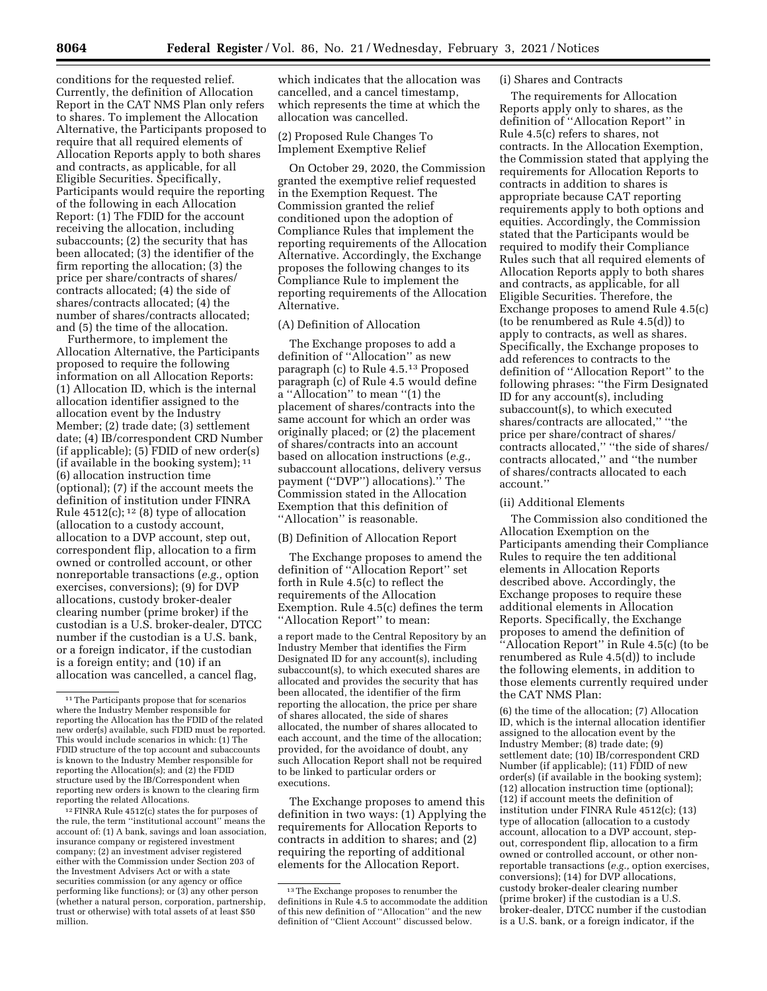conditions for the requested relief. Currently, the definition of Allocation Report in the CAT NMS Plan only refers to shares. To implement the Allocation Alternative, the Participants proposed to require that all required elements of Allocation Reports apply to both shares and contracts, as applicable, for all Eligible Securities. Specifically, Participants would require the reporting of the following in each Allocation Report: (1) The FDID for the account receiving the allocation, including subaccounts; (2) the security that has been allocated; (3) the identifier of the firm reporting the allocation; (3) the price per share/contracts of shares/ contracts allocated; (4) the side of shares/contracts allocated; (4) the number of shares/contracts allocated; and (5) the time of the allocation.

Furthermore, to implement the Allocation Alternative, the Participants proposed to require the following information on all Allocation Reports: (1) Allocation ID, which is the internal allocation identifier assigned to the allocation event by the Industry Member; (2) trade date; (3) settlement date; (4) IB/correspondent CRD Number (if applicable); (5) FDID of new order(s) (if available in the booking system); 11 (6) allocation instruction time (optional); (7) if the account meets the definition of institution under FINRA Rule  $4512(c)$ ; <sup>12</sup> (8) type of allocation (allocation to a custody account, allocation to a DVP account, step out, correspondent flip, allocation to a firm owned or controlled account, or other nonreportable transactions (*e.g.,* option exercises, conversions); (9) for DVP allocations, custody broker-dealer clearing number (prime broker) if the custodian is a U.S. broker-dealer, DTCC number if the custodian is a U.S. bank, or a foreign indicator, if the custodian is a foreign entity; and (10) if an allocation was cancelled, a cancel flag,

12FINRA Rule 4512(c) states the for purposes of the rule, the term ''institutional account'' means the account of: (1) A bank, savings and loan association, insurance company or registered investment company; (2) an investment adviser registered either with the Commission under Section 203 of the Investment Advisers Act or with a state securities commission (or any agency or office performing like functions); or (3) any other person (whether a natural person, corporation, partnership, trust or otherwise) with total assets of at least \$50 million.

which indicates that the allocation was cancelled, and a cancel timestamp, which represents the time at which the allocation was cancelled.

# (2) Proposed Rule Changes To Implement Exemptive Relief

On October 29, 2020, the Commission granted the exemptive relief requested in the Exemption Request. The Commission granted the relief conditioned upon the adoption of Compliance Rules that implement the reporting requirements of the Allocation Alternative. Accordingly, the Exchange proposes the following changes to its Compliance Rule to implement the reporting requirements of the Allocation Alternative.

# (A) Definition of Allocation

The Exchange proposes to add a definition of ''Allocation'' as new paragraph (c) to Rule 4.5.13 Proposed paragraph (c) of Rule 4.5 would define a ''Allocation'' to mean ''(1) the placement of shares/contracts into the same account for which an order was originally placed; or (2) the placement of shares/contracts into an account based on allocation instructions (*e.g.,*  subaccount allocations, delivery versus payment (''DVP'') allocations).'' The Commission stated in the Allocation Exemption that this definition of "Allocation" is reasonable.

#### (B) Definition of Allocation Report

The Exchange proposes to amend the definition of ''Allocation Report'' set forth in Rule 4.5(c) to reflect the requirements of the Allocation Exemption. Rule 4.5(c) defines the term ''Allocation Report'' to mean:

a report made to the Central Repository by an Industry Member that identifies the Firm Designated ID for any account(s), including subaccount(s), to which executed shares are allocated and provides the security that has been allocated, the identifier of the firm reporting the allocation, the price per share of shares allocated, the side of shares allocated, the number of shares allocated to each account, and the time of the allocation; provided, for the avoidance of doubt, any such Allocation Report shall not be required to be linked to particular orders or executions.

The Exchange proposes to amend this definition in two ways: (1) Applying the requirements for Allocation Reports to contracts in addition to shares; and (2) requiring the reporting of additional elements for the Allocation Report.

# (i) Shares and Contracts

The requirements for Allocation Reports apply only to shares, as the definition of ''Allocation Report'' in Rule 4.5(c) refers to shares, not contracts. In the Allocation Exemption, the Commission stated that applying the requirements for Allocation Reports to contracts in addition to shares is appropriate because CAT reporting requirements apply to both options and equities. Accordingly, the Commission stated that the Participants would be required to modify their Compliance Rules such that all required elements of Allocation Reports apply to both shares and contracts, as applicable, for all Eligible Securities. Therefore, the Exchange proposes to amend Rule 4.5(c) (to be renumbered as Rule 4.5(d)) to apply to contracts, as well as shares. Specifically, the Exchange proposes to add references to contracts to the definition of ''Allocation Report'' to the following phrases: ''the Firm Designated ID for any account(s), including subaccount(s), to which executed shares/contracts are allocated,'' ''the price per share/contract of shares/ contracts allocated,'' ''the side of shares/ contracts allocated,'' and ''the number of shares/contracts allocated to each account.''

#### (ii) Additional Elements

The Commission also conditioned the Allocation Exemption on the Participants amending their Compliance Rules to require the ten additional elements in Allocation Reports described above. Accordingly, the Exchange proposes to require these additional elements in Allocation Reports. Specifically, the Exchange proposes to amend the definition of ''Allocation Report'' in Rule 4.5(c) (to be renumbered as Rule 4.5(d)) to include the following elements, in addition to those elements currently required under the CAT NMS Plan:

(6) the time of the allocation; (7) Allocation ID, which is the internal allocation identifier assigned to the allocation event by the Industry Member; (8) trade date; (9) settlement date; (10) IB/correspondent CRD Number (if applicable); (11) FDID of new order(s) (if available in the booking system); (12) allocation instruction time (optional); (12) if account meets the definition of institution under FINRA Rule 4512(c); (13) type of allocation (allocation to a custody account, allocation to a DVP account, stepout, correspondent flip, allocation to a firm owned or controlled account, or other nonreportable transactions (*e.g.,* option exercises, conversions); (14) for DVP allocations, custody broker-dealer clearing number (prime broker) if the custodian is a U.S. broker-dealer, DTCC number if the custodian is a U.S. bank, or a foreign indicator, if the

<sup>11</sup>The Participants propose that for scenarios where the Industry Member responsible for reporting the Allocation has the FDID of the related new order(s) available, such FDID must be reported. This would include scenarios in which: (1) The FDID structure of the top account and subaccounts is known to the Industry Member responsible for reporting the Allocation(s); and (2) the FDID structure used by the IB/Correspondent when reporting new orders is known to the clearing firm reporting the related Allocations.

<sup>13</sup>The Exchange proposes to renumber the definitions in Rule 4.5 to accommodate the addition of this new definition of ''Allocation'' and the new definition of ''Client Account'' discussed below.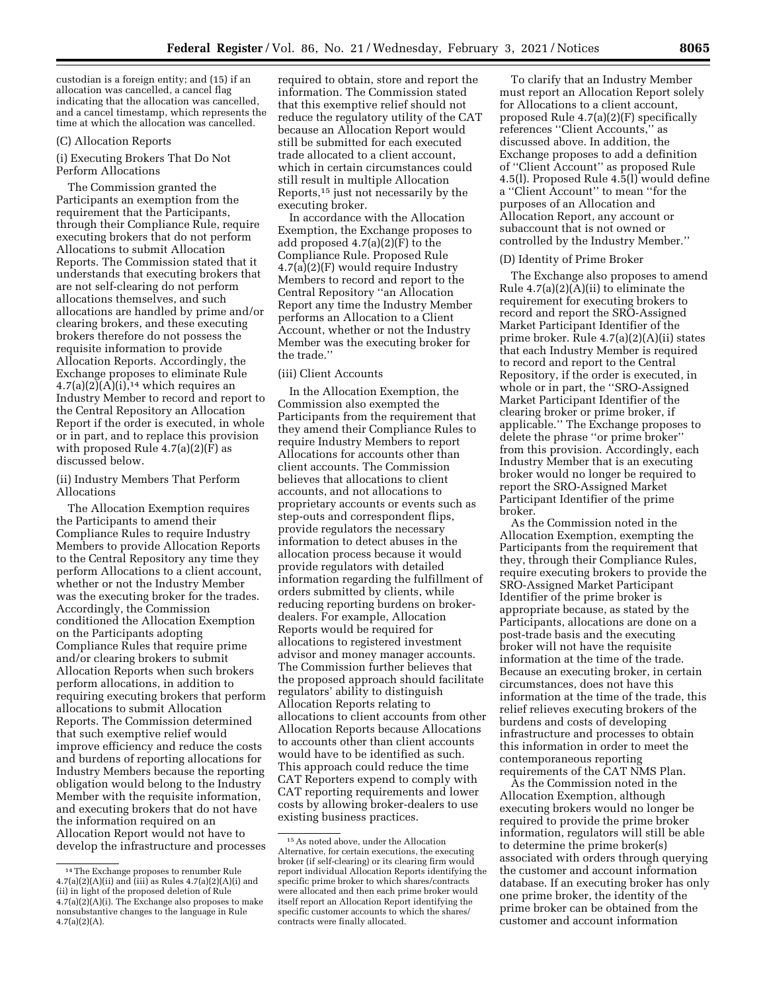custodian is a foreign entity; and (15) if an allocation was cancelled, a cancel flag indicating that the allocation was cancelled, and a cancel timestamp, which represents the time at which the allocation was cancelled.

# (C) Allocation Reports

(i) Executing Brokers That Do Not Perform Allocations

The Commission granted the Participants an exemption from the requirement that the Participants, through their Compliance Rule, require executing brokers that do not perform Allocations to submit Allocation Reports. The Commission stated that it understands that executing brokers that are not self-clearing do not perform allocations themselves, and such allocations are handled by prime and/or clearing brokers, and these executing brokers therefore do not possess the requisite information to provide Allocation Reports. Accordingly, the Exchange proposes to eliminate Rule  $4.7(a)(2)(A)(i).<sup>14</sup>$  which requires an Industry Member to record and report to the Central Repository an Allocation Report if the order is executed, in whole or in part, and to replace this provision with proposed Rule  $4.7(a)(2)(F)$  as discussed below.

(ii) Industry Members That Perform Allocations

The Allocation Exemption requires the Participants to amend their Compliance Rules to require Industry Members to provide Allocation Reports to the Central Repository any time they perform Allocations to a client account, whether or not the Industry Member was the executing broker for the trades. Accordingly, the Commission conditioned the Allocation Exemption on the Participants adopting Compliance Rules that require prime and/or clearing brokers to submit Allocation Reports when such brokers perform allocations, in addition to requiring executing brokers that perform allocations to submit Allocation Reports. The Commission determined that such exemptive relief would improve efficiency and reduce the costs and burdens of reporting allocations for Industry Members because the reporting obligation would belong to the Industry Member with the requisite information, and executing brokers that do not have the information required on an Allocation Report would not have to develop the infrastructure and processes required to obtain, store and report the information. The Commission stated that this exemptive relief should not reduce the regulatory utility of the CAT because an Allocation Report would still be submitted for each executed trade allocated to a client account, which in certain circumstances could still result in multiple Allocation Reports,15 just not necessarily by the executing broker.

In accordance with the Allocation Exemption, the Exchange proposes to add proposed 4.7(a)(2)(F) to the Compliance Rule. Proposed Rule 4.7(a)(2)(F) would require Industry Members to record and report to the Central Repository ''an Allocation Report any time the Industry Member performs an Allocation to a Client Account, whether or not the Industry Member was the executing broker for the trade.''

#### (iii) Client Accounts

In the Allocation Exemption, the Commission also exempted the Participants from the requirement that they amend their Compliance Rules to require Industry Members to report Allocations for accounts other than client accounts. The Commission believes that allocations to client accounts, and not allocations to proprietary accounts or events such as step-outs and correspondent flips, provide regulators the necessary information to detect abuses in the allocation process because it would provide regulators with detailed information regarding the fulfillment of orders submitted by clients, while reducing reporting burdens on brokerdealers. For example, Allocation Reports would be required for allocations to registered investment advisor and money manager accounts. The Commission further believes that the proposed approach should facilitate regulators' ability to distinguish Allocation Reports relating to allocations to client accounts from other Allocation Reports because Allocations to accounts other than client accounts would have to be identified as such. This approach could reduce the time CAT Reporters expend to comply with CAT reporting requirements and lower costs by allowing broker-dealers to use existing business practices.

To clarify that an Industry Member must report an Allocation Report solely for Allocations to a client account, proposed Rule 4.7(a)(2)(F) specifically references ''Client Accounts,'' as discussed above. In addition, the Exchange proposes to add a definition of ''Client Account'' as proposed Rule 4.5(l). Proposed Rule 4.5(l) would define a ''Client Account'' to mean ''for the purposes of an Allocation and Allocation Report, any account or subaccount that is not owned or controlled by the Industry Member.''

#### (D) Identity of Prime Broker

The Exchange also proposes to amend Rule 4.7(a)(2)(A)(ii) to eliminate the requirement for executing brokers to record and report the SRO-Assigned Market Participant Identifier of the prime broker. Rule 4.7(a)(2)(A)(ii) states that each Industry Member is required to record and report to the Central Repository, if the order is executed, in whole or in part, the "SRO-Assigned Market Participant Identifier of the clearing broker or prime broker, if applicable.'' The Exchange proposes to delete the phrase ''or prime broker'' from this provision. Accordingly, each Industry Member that is an executing broker would no longer be required to report the SRO-Assigned Market Participant Identifier of the prime broker.

As the Commission noted in the Allocation Exemption, exempting the Participants from the requirement that they, through their Compliance Rules, require executing brokers to provide the SRO-Assigned Market Participant Identifier of the prime broker is appropriate because, as stated by the Participants, allocations are done on a post-trade basis and the executing broker will not have the requisite information at the time of the trade. Because an executing broker, in certain circumstances, does not have this information at the time of the trade, this relief relieves executing brokers of the burdens and costs of developing infrastructure and processes to obtain this information in order to meet the contemporaneous reporting requirements of the CAT NMS Plan.

As the Commission noted in the Allocation Exemption, although executing brokers would no longer be required to provide the prime broker information, regulators will still be able to determine the prime broker(s) associated with orders through querying the customer and account information database. If an executing broker has only one prime broker, the identity of the prime broker can be obtained from the customer and account information

<sup>14</sup>The Exchange proposes to renumber Rule  $4.7(a)(2)(A)(ii)$  and  $(iii)$  as Rules  $4.7(a)(2)(A)(i)$  and (ii) in light of the proposed deletion of Rule  $4.7(a)(2)(A)(i)$ . The Exchange also proposes to make nonsubstantive changes to the language in Rule  $4.7(a)(2)(A)$ .

<sup>15</sup>As noted above, under the Allocation Alternative, for certain executions, the executing broker (if self-clearing) or its clearing firm would report individual Allocation Reports identifying the specific prime broker to which shares/contracts were allocated and then each prime broker would itself report an Allocation Report identifying the specific customer accounts to which the shares/ contracts were finally allocated.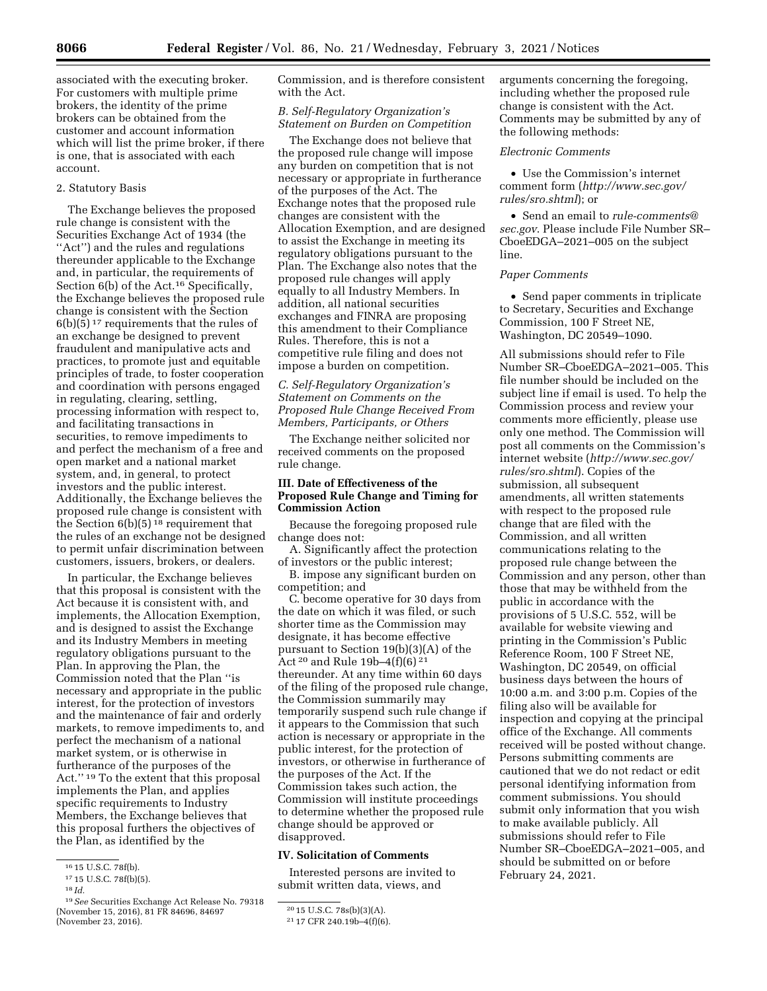associated with the executing broker. For customers with multiple prime brokers, the identity of the prime brokers can be obtained from the customer and account information which will list the prime broker, if there is one, that is associated with each account.

# 2. Statutory Basis

The Exchange believes the proposed rule change is consistent with the Securities Exchange Act of 1934 (the ''Act'') and the rules and regulations thereunder applicable to the Exchange and, in particular, the requirements of Section 6(b) of the Act.<sup>16</sup> Specifically, the Exchange believes the proposed rule change is consistent with the Section  $6(b)(5)^{17}$  requirements that the rules of an exchange be designed to prevent fraudulent and manipulative acts and practices, to promote just and equitable principles of trade, to foster cooperation and coordination with persons engaged in regulating, clearing, settling, processing information with respect to, and facilitating transactions in securities, to remove impediments to and perfect the mechanism of a free and open market and a national market system, and, in general, to protect investors and the public interest. Additionally, the Exchange believes the proposed rule change is consistent with the Section 6(b)(5) 18 requirement that the rules of an exchange not be designed to permit unfair discrimination between customers, issuers, brokers, or dealers.

In particular, the Exchange believes that this proposal is consistent with the Act because it is consistent with, and implements, the Allocation Exemption, and is designed to assist the Exchange and its Industry Members in meeting regulatory obligations pursuant to the Plan. In approving the Plan, the Commission noted that the Plan ''is necessary and appropriate in the public interest, for the protection of investors and the maintenance of fair and orderly markets, to remove impediments to, and perfect the mechanism of a national market system, or is otherwise in furtherance of the purposes of the Act.'' 19 To the extent that this proposal implements the Plan, and applies specific requirements to Industry Members, the Exchange believes that this proposal furthers the objectives of the Plan, as identified by the

Commission, and is therefore consistent with the Act.

# *B. Self-Regulatory Organization's Statement on Burden on Competition*

The Exchange does not believe that the proposed rule change will impose any burden on competition that is not necessary or appropriate in furtherance of the purposes of the Act. The Exchange notes that the proposed rule changes are consistent with the Allocation Exemption, and are designed to assist the Exchange in meeting its regulatory obligations pursuant to the Plan. The Exchange also notes that the proposed rule changes will apply equally to all Industry Members. In addition, all national securities exchanges and FINRA are proposing this amendment to their Compliance Rules. Therefore, this is not a competitive rule filing and does not impose a burden on competition.

# *C. Self-Regulatory Organization's Statement on Comments on the Proposed Rule Change Received From Members, Participants, or Others*

The Exchange neither solicited nor received comments on the proposed rule change.

# **III. Date of Effectiveness of the Proposed Rule Change and Timing for Commission Action**

Because the foregoing proposed rule change does not:

A. Significantly affect the protection of investors or the public interest;

B. impose any significant burden on competition; and

C. become operative for 30 days from the date on which it was filed, or such shorter time as the Commission may designate, it has become effective pursuant to Section 19(b)(3)(A) of the Act 20 and Rule 19b–4(f)(6) 21 thereunder. At any time within 60 days of the filing of the proposed rule change, the Commission summarily may temporarily suspend such rule change if it appears to the Commission that such action is necessary or appropriate in the public interest, for the protection of investors, or otherwise in furtherance of the purposes of the Act. If the Commission takes such action, the Commission will institute proceedings to determine whether the proposed rule change should be approved or disapproved.

# **IV. Solicitation of Comments**

Interested persons are invited to submit written data, views, and

arguments concerning the foregoing, including whether the proposed rule change is consistent with the Act. Comments may be submitted by any of the following methods:

# *Electronic Comments*

• Use the Commission's internet comment form (*[http://www.sec.gov/](http://www.sec.gov/rules/sro.shtml)  [rules/sro.shtml](http://www.sec.gov/rules/sro.shtml)*); or

• Send an email to *[rule-comments@](mailto:rule-comments@sec.gov) [sec.gov](mailto:rule-comments@sec.gov)*. Please include File Number SR– CboeEDGA–2021–005 on the subject line.

# *Paper Comments*

• Send paper comments in triplicate to Secretary, Securities and Exchange Commission, 100 F Street NE, Washington, DC 20549–1090.

All submissions should refer to File Number SR–CboeEDGA–2021–005. This file number should be included on the subject line if email is used. To help the Commission process and review your comments more efficiently, please use only one method. The Commission will post all comments on the Commission's internet website (*[http://www.sec.gov/](http://www.sec.gov/rules/sro.shtml)  [rules/sro.shtml](http://www.sec.gov/rules/sro.shtml)*). Copies of the submission, all subsequent amendments, all written statements with respect to the proposed rule change that are filed with the Commission, and all written communications relating to the proposed rule change between the Commission and any person, other than those that may be withheld from the public in accordance with the provisions of 5 U.S.C. 552, will be available for website viewing and printing in the Commission's Public Reference Room, 100 F Street NE, Washington, DC 20549, on official business days between the hours of 10:00 a.m. and 3:00 p.m. Copies of the filing also will be available for inspection and copying at the principal office of the Exchange. All comments received will be posted without change. Persons submitting comments are cautioned that we do not redact or edit personal identifying information from comment submissions. You should submit only information that you wish to make available publicly. All submissions should refer to File Number SR–CboeEDGA–2021–005, and should be submitted on or before February 24, 2021.

<sup>16</sup> 15 U.S.C. 78f(b).

<sup>17</sup> 15 U.S.C. 78f(b)(5).

<sup>18</sup> *Id.* 

<sup>19</sup>*See* Securities Exchange Act Release No. 79318 (November 15, 2016), 81 FR 84696, 84697 (November 23, 2016).

<sup>20</sup> 15 U.S.C. 78s(b)(3)(A).

<sup>21</sup> 17 CFR 240.19b–4(f)(6).